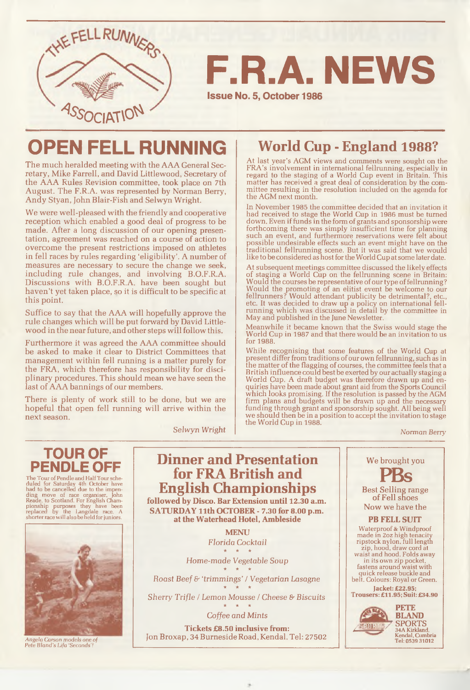

F.R.A. NEWS

**Issue No. 5, October 1986**

## OPEN FELL RUNNING

The much heralded meeting with the AAA General Secretary, Mike Farrell, and David Littlewood, Secretary of the AAA Rules Revision committee, took place on 7th August. The F.R.A. was represented by Norman Berry, Andy Styan, John Blair-Fish and Selwyn Wright.

We were well-pleased with the friendly and cooperative reception which enabled a good deal of progress, to be made. After a long discussion of our opening presentation, agreement was reached on a course of action to overcome the present restrictions imposed on athletes in fell races by rules regarding 'eligibility'. A number of measures are necessary to secure the change we seek, including rule changes, and involving B.O.F.R.A. Discussions with B.O.F.R.A. have been sought but haven't yet taken place, so it is difficult to be specific at this point.

Suffice to say that the AAA will hopefully approve the rule changes which will be put forward by David Littlewood in the near future, and other steps will follow this.

Furthermore it was agreed the AAA committee should be asked to make it clear to District Committees that management within fell running is a matter purely for the FRA, which therefore has responsibility for disciplinary procedures. This should mean we have seen the last of AAA bannings of our members.

There is plenty of work still to be done, but we are hopeful that open fell running will arrive within the next season.

Selwyn Wright

## **World Cup - England 1988?**

At last year's AGM views and comments were sought on the FRA 's involvement in international fellrunning, especially in regard to the staging of a World Cup event in Britain. This matter has received a great deal of consideration by the committee resulting in the resolution included on the agenda for the AGM next month.

In November 1985 the committee decided that an invitation it had received to stage the World Cup in 1986 must be turned down. Even if funds in the form of grants and sponsorship were forthcoming there was simply insufficient time for planning such an event, and furthermore reservations were felt about possible undesirable effects such an event might have on the traditional fellrunning scene. But it was said that we would like to be considered as host for the World Cup at some later date.

At subsequent meetings committee discussed the likely effects of staging a World Cup on the fellrunning scene in Britain: Would the courses be representative of our type of fellrunning? Would the promoting of an elitist event be welcome to our fellrunners? Would attendant publicity be detrimental?, etc., etc. It was decided to draw up a policy on international fellrunning which was discussed in detail by the committee in May and published in the June Newsletter.

Meanwhile it became known that the Swiss would stage the World Cup in 1987 and that there would be an invitation to us for 1988.

W hile recognising that some features of the World Cup at present differ from traditions of our own fellrunning, such as in the matter of the flagging of courses, the committee feels that a British influence could best be exerted by our actually staging a World Cup. A draft budget was therefore drawn up and enquiries have been made about grant aid from the Sports Council w hich looks promising. If the resolution is passed by the AGM firm plans and budgets will be drawn up and the necessary funding through grant and sponsorship sought. All being well we should then be in a position to accept the invitation to stage the World Cup in 1988.

Norman *Berry*



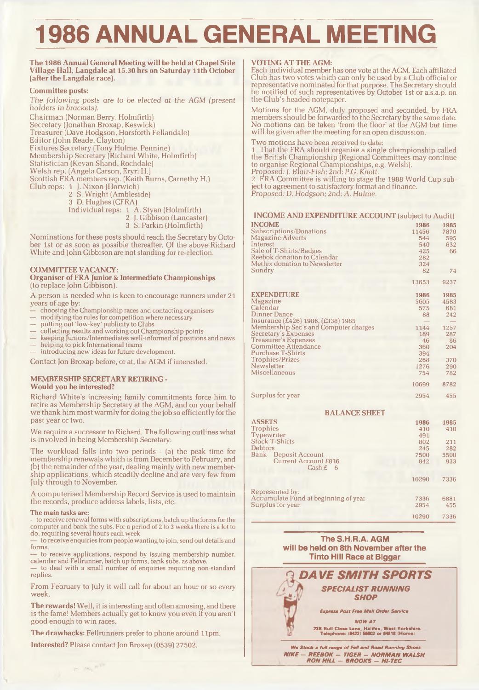# 1986 ANNUAL GENERAL MEETING

#### **The 1986 Annual General Meeting will be held at Chapel Stile Village Hall, Langdale at 15.30 hrs on Saturday 11th October (after the Langdale race).**

#### **Committee posts:**

The *follow ing* posts *are to be elected at the AGM* (present holders in *brackets).*

Chairman (Norman Berry, Holmfirth) Secretary (Jonathan Broxap, Keswick) Treasurer (Dave Hodgson, Horsforth Fellandale) Editor (John Reade, Clayton) Fixtures Secretary (Tony Hulme, Pennine) Membership Secretary (Richard White, Holmfirth) Statistician (Kevan Shand, Rochdale) Welsh rep. (Angela Carson, Eryri H.) Scottish FRA members rep. (Keith Burns, Carnethy H.) Club reps: 1 f. Nixon (Horwich)

2 S. Wright (Ambleside)

3 D. Hughes (CFRA)

Individual reps: 1 A. Styan (Holmfirth)

- 2 J. Gibbison (Lancaster)
- 3 S. Parkin (Holmfirth)

Nominations for these posts should reach the Secretary by October 1st or as soon as possible thereafter. Of the above Richard White and John Gibbison are not standing for re-election.

#### **COMMITTEE VACANCY:**

**Organiser of FRA Junior & Intermediate Championships** (to replace John Gibbison).

A person is needed who is keen to encourage runners under 21 years of age by:

- choosing the Championship races and contacting organisers
- modifying the rules for competition where necessary
- putting out 'low-key' publicity to Clubs
- collecting results and working out Championship points
- keeping Juniors/Intermediates well-informed of positions and news helping to pick International teams
- introducing new ideas for future development.

Contact Jon Broxap before, or at, die AGM if interested.

#### **MEMBERSHIP SECRETARY RETIRING - Would you be interested?**

Richard White's increasing family commitments force him to retire as Membership Secretary at the AGM, and on your behalf we thank him most warmly for doing the job so efficiently for the past year or two.

We require a successor to Richard. The following outlines what is involved in being Membership Secretary:

The workload falls into two periods - (a) the peak time for membership renewals which is from December to February, and (b) the remainder of the year, dealing mainly with new membership applications, which steadily decline and are very few from July through to November.

A computerised Membership Record Service is used to maintain the records, produce address labels, lists, etc.

#### **The main tasks are:**

to receive renewal forms with subscriptions, batch up the forms for the com puter and bank the subs. For a period of 2 to 3 weeks there is a lot to do, requiring several hours each week

— to receive enquiries from people wanting to join, send out details and forms.

to receive applications, respond by issuing membership number, calendar and Fellrunner, batch up forms, bank subs, as above. — to deal with a small number of enquiries requiring non-standard

replies.

From February to July it will call for about an hour or so every week.

**The rewards!** Well, it is interesting and often amusing, and there is the fame! Members actually get to know you even if you aren't good enough to win races.

**The drawbacks:** Fellrunners prefer to phone around 11pm.

**Interested?** Please contact Jon Broxap (0539) 27502.

 $\mathcal{L} = \left\langle \mathcal{M}_{\mathcal{A}} \right\rangle \mathcal{H}^{(1)}$ 

#### **VOTING AT THE AGM:**

Each individual member has one vote at the AGM. Each affiliated Club has two votes which can only be used by a Club official or representative nominated for that purpose. The Secretary should be notified of such representatives by October 1st or a.s.a.p. on the Club's headed notepaper.

Motions for the AGM, duly proposed and seconded, by FRA members should be forwarded to the Secretary by the same date. No motions can be taken 'from the floor' at the AGM but time will be given after the meeting for an open discussion.

Two motions have been received to date:

1 That the FRA should organise a single championship called the British Championship (Regional Committees may continue to organise Regional Championships, e.g. Welsh).

Proposed: /. Blair-Fish; *2nd:* P.G. Knott.

2 FRA Committee is willing to stage the 1988 World Cup subject to agreement to satisfactory format and finance. Proposed: D. Hodgson; *2nd: A. Hulme.*

#### **INCOME AND EXPENDITURE ACCOUNT** (subject to Audit)

| <b>INCOME</b>                                            | 1986         | 1985        |  |  |
|----------------------------------------------------------|--------------|-------------|--|--|
| Subscriptions/Donations                                  | 11456        | 7870        |  |  |
| <b>Magazine Adverts</b>                                  | 544          | 595         |  |  |
| Interest                                                 | 540          | 632         |  |  |
| Sale of T-Shirts/Badges                                  | 425          | 66          |  |  |
| Reebok donation to Calendar                              | 282          |             |  |  |
| Metlex donation to Newsletter                            | 324          |             |  |  |
| Sundry                                                   | 82           | 74          |  |  |
|                                                          |              |             |  |  |
|                                                          | 13653        | 9237        |  |  |
| <b>EXPENDITURE</b>                                       | 1986         | 1985        |  |  |
| Magazine                                                 | 5605         | 4583        |  |  |
| Calendar                                                 | 575          | 681         |  |  |
| <b>Dinner Dance</b>                                      | 88           | 242         |  |  |
| Insurance (£426) 1986, (£338) 1985                       |              |             |  |  |
| Membership Sec's and Computer charges                    | 1144         | 1257        |  |  |
| Secretary's Expenses                                     | 189          | 287         |  |  |
| <b>Treasurer's Expenses</b>                              | 46           | 86          |  |  |
| Committee Attendance                                     | 360          | 204         |  |  |
| <b>Purchase T-Shirts</b>                                 | 394          |             |  |  |
| Trophies/Prizes                                          | 268          | 370         |  |  |
| Newsletter                                               | 1276         | 290         |  |  |
| Miscellaneous                                            | 754          | 782         |  |  |
|                                                          | 10699        | 8782        |  |  |
|                                                          |              |             |  |  |
| Surplus for year                                         | 2954         | 455         |  |  |
| <b>BALANCE SHEET</b>                                     |              |             |  |  |
| <b>ASSETS</b>                                            | 1986         | 1985        |  |  |
| <b>Trophies</b>                                          | 410          | 410         |  |  |
| Typewriter                                               | 491          |             |  |  |
| Stock T-Shirts                                           | 802          | 211         |  |  |
| Debtors                                                  | 245          | 282         |  |  |
| Bank<br>Deposit Account                                  | 7500         | 5500        |  |  |
| Current Account £836                                     | 842          | 933         |  |  |
| $\operatorname{Cash}$ £<br>- 6                           |              |             |  |  |
|                                                          | 10290        | 7336        |  |  |
|                                                          |              |             |  |  |
| Represented by:                                          |              |             |  |  |
| Accumulate Fund at beginning of year<br>Surplus for year | 7336<br>2954 | 6881<br>455 |  |  |
|                                                          |              |             |  |  |
|                                                          | 10290        | 7336        |  |  |

#### The S.H.R.A. AGM will be held on 8th November after the Tinto Hill Race at Biggar



*NIKE - REEBOK - TIGER* - *N O R M A N WALSH RO N HILL* - *BROOKS* - *HI-TEC*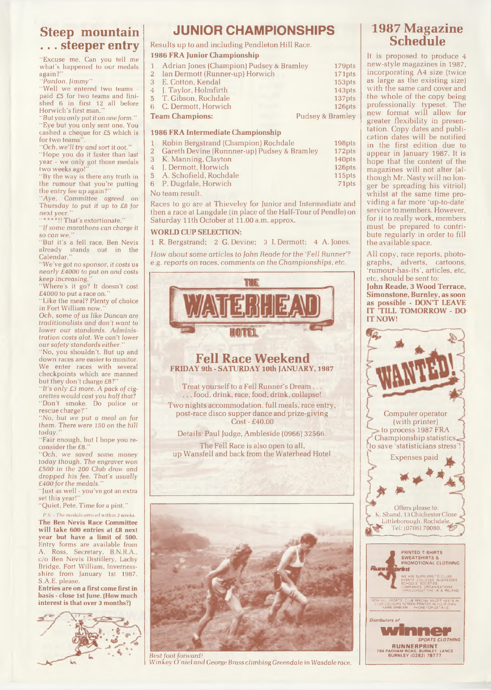## **Steep mountain . . . steeper entry**

"Excuse me. Can you tell me what's happened to our medals again?

*"Pardon, Jim m y"*

"Well we entered two teams paid £5 for two teams and finished 6 in first 12 all before Horwich's first man."

*"But you only put it on one form."* "Eye but you only sent one. You cashed a cheque for £5 which is for two teams"

"Och, we'll try and sort it oot."

"Hope you do it faster than last year - we only got those medals two weeks ago!

"By the way is there any truth in the rumour that you're putting the entry fee up again?'

*"Aye, Committee agreed* on Thursday to put it up to £8 for *next yeer."*

 $\cdots$ \*\*\*!! That's extortionate."

"If some marathons can charge it *so* can *we."*

"But it's a fell race. Ben Nevis already stands out in the Calendar.'

*" We've* got no sponsor, it *costs* us *nearly £ 4 0 0 0* to *put on and costs keep* increasing.

'Where's it go? It doesn't cost  $£4000$  to put a race on.

"Like the meal? Plenty of choice in Fort William now.

*Och, some of us like Duncan are traditionalists and don't want to lower* our standards. Adminis*tration costs alot.* We can't lower our safety standards either.

"No, you shouldn't. But up and down races are easier to monitor. We enter races with several checkpoints which are manned but they don't charge  $£8$ ?'

"It's only £3 more. A pack of cig*arettes would cost you half that?* "Don't smoke. Do police or rescue charge?"

"No, *but we put a meal on for them . There were 150 on the hill*  $today.$ 

"Fair enough, but I hope you reconsider the £8.'

*"Och, we saved some money today though. The* engraver won £500 in the 200 Club draw and *dropped his fee. That's usually*  $£400$  for the medals.

" Just as well - you've got an extra set this year!

"Quiet, Pete. Time for a pint."

*P.S. - The medals arrived within 2 weeks.* **The Ben Nevis Race Committee will take 600 entries at £8 next year but have a limit of 500.** Entry forms are available from<br>A. Ross. Secretary. B.N.R.A.. Ross, Secretary, B.N.R.A., c/o Ben Nevis Distillery, Lachy Bridge, Fort William, Invernessshire from January 1st 1987. S.A.E. please.

**Entries are on a first come first in basis - close 1st June. (How much interest is that over 3 months?)**



## JUNIOR CHAMPIONSHIPS

Results up to and including Pendleton Hill Race.

**1986 FRA Junior Championship**

| 1 Adrian Jones (Champion) Pudsey & Bramley | 179pts             |
|--------------------------------------------|--------------------|
| 2 Ian Dermott (Runner-up) Horwich          | 171pts             |
| 3 E. Cotton, Kendal                        | 153pts             |
| 4 I. Taylor, Holmfirth                     | 143 <sub>pts</sub> |
| 5 T. Gibson, Rochdale                      | 137pts             |
| 6 C. Dermott, Horwich                      | 126pts             |
| <b>Team Champions:</b>                     | Pudsey & Bramley   |

#### **1986 FRA Intermediate Championship**

| 1 Robin Bergstrand (Champion) Rochdale        | 198pts             |
|-----------------------------------------------|--------------------|
| 2 Gareth Devine (Runnner-up) Pudsey & Bramley | 172pts             |
| 3 K. Manning, Clayton                         | 140pts             |
| 4 J. Dermott, Horwich                         | 126 <sub>pts</sub> |
| 5 A. Schofield, Rochdale                      | 115pts             |
| 6 P. Dugdale, Horwich                         | 71 <sub>pts</sub>  |

No team result.

Races to go are at Thieveley for Junior and Intermediate and then a race at Langdale (in place of the Half-Tour of Pendle) on Saturday 11th October at 11.00 a.m. approx.

#### **WORLD CUP SELECTION:**

1 R. Bergstrand; 2 G. Devine; 3 I. Dermott; 4 A. Jones.

How *about some articles to John Reade for the 'Fell Runner'? e.g.* reports on *races, comments on the* Championships, etc.





*Winkey O 'niel and George Brass climbing Greendale in W asdale race.*

### **1987 Magazine Schedule**

It is proposed to produce 4 new-style magazines in 1987, incorporating A4 size (twice as large as the existing size) with the same card cover and the whole of the copy being professionally typeset. The new format will allow for greater flexibility in presentation. Copy dates and publication dates will be notified in the first edition due to appear in January 1987. It is hope that the content of the magazines will not alter (although Mr. Nasty will no longer be spreading his vitriol) whilst at the same time providing a far more 'up-to-date' service to members. However, for it to really work, members must be prepared to contribute regularly in order to fill the available space.

All copy, race reports, photographs, adverts, cartoons, rumour-has-its', articles, etc, etc, should be sent to: **John Reade, 3 Wood Terrace, Simonstone, Burnley, as soon as possible - DON'T LEAVE IT TILL TOMORROW - DO IT NOW!**



**SPORTS CLOTHING RUNNERPRINT**<br>794 PADHAM ROAD BURNLEY. LANCS